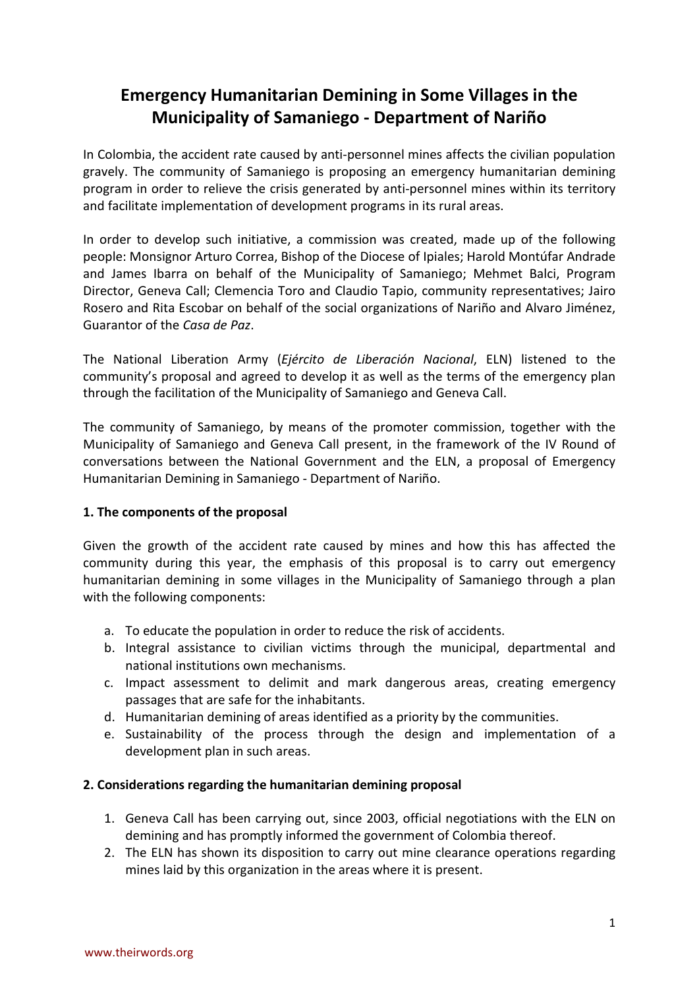# **Emergency Humanitarian Demining in Some Villages in the Municipality of Samaniego - Department of Nariño**

In Colombia, the accident rate caused by anti-personnel mines affects the civilian population gravely. The community of Samaniego is proposing an emergency humanitarian demining program in order to relieve the crisis generated by anti-personnel mines within its territory and facilitate implementation of development programs in its rural areas.

In order to develop such initiative, a commission was created, made up of the following people: Monsignor Arturo Correa, Bishop of the Diocese of Ipiales; Harold Montúfar Andrade and James Ibarra on behalf of the Municipality of Samaniego; Mehmet Balci, Program Director, Geneva Call; Clemencia Toro and Claudio Tapio, community representatives; Jairo Rosero and Rita Escobar on behalf of the social organizations of Nariño and Alvaro Jiménez, Guarantor of the *Casa de Paz*.

The National Liberation Army (*Ejército de Liberación Nacional*, ELN) listened to the community's proposal and agreed to develop it as well as the terms of the emergency plan through the facilitation of the Municipality of Samaniego and Geneva Call.

The community of Samaniego, by means of the promoter commission, together with the Municipality of Samaniego and Geneva Call present, in the framework of the IV Round of conversations between the National Government and the ELN, a proposal of Emergency Humanitarian Demining in Samaniego - Department of Nariño.

# **1. The components of the proposal**

Given the growth of the accident rate caused by mines and how this has affected the community during this year, the emphasis of this proposal is to carry out emergency humanitarian demining in some villages in the Municipality of Samaniego through a plan with the following components:

- a. To educate the population in order to reduce the risk of accidents.
- b. Integral assistance to civilian victims through the municipal, departmental and national institutions own mechanisms.
- c. Impact assessment to delimit and mark dangerous areas, creating emergency passages that are safe for the inhabitants.
- d. Humanitarian demining of areas identified as a priority by the communities.
- e. Sustainability of the process through the design and implementation of a development plan in such areas.

## **2. Considerations regarding the humanitarian demining proposal**

- 1. Geneva Call has been carrying out, since 2003, official negotiations with the ELN on demining and has promptly informed the government of Colombia thereof.
- 2. The ELN has shown its disposition to carry out mine clearance operations regarding mines laid by this organization in the areas where it is present.